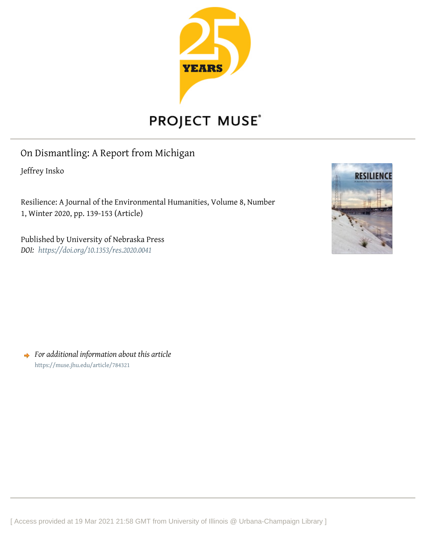

## PROJECT MUSE®

## On Dismantling: A Report from Michigan

Jeffrey Insko

Resilience: A Journal of the Environmental Humanities, Volume 8, Number 1, Winter 2020, pp. 139-153 (Article)

Published by University of Nebraska Press *DOI: <https://doi.org/10.1353/res.2020.0041>*



*For additional information about this article* <https://muse.jhu.edu/article/784321>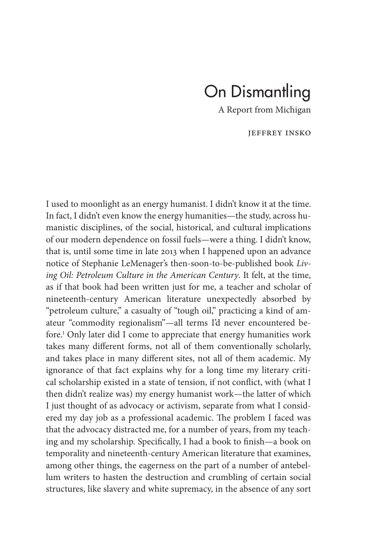## On Dismantling

A Report from Michigan

Jeffrey Insko

I used to moonlight as an energy humanist. I didn't know it at the time. In fact, I didn't even know the energy humanities— the study, across humanistic disciplines, of the social, historical, and cultural implications of our modern dependence on fossil fuels— were a thing. I didn't know, that is, until some time in late 2013 when I happened upon an advance notice of Stephanie LeMenager's then- soon- to- be- published book *Living Oil: Petroleum Culture in the American Century*. It felt, at the time, as if that book had been written just for me, a teacher and scholar of nineteenth- century American literature unexpectedly absorbed by "petroleum culture," a casualty of "tough oil," practicing a kind of amateur "commodity regionalism"— all terms I'd never encountered before.1 Only later did I come to appreciate that energy humanities work takes many different forms, not all of them conventionally scholarly, and takes place in many different sites, not all of them academic. My ignorance of that fact explains why for a long time my literary critical scholarship existed in a state of tension, if not conflict, with (what I then didn't realize was) my energy humanist work— the latter of which I just thought of as advocacy or activism, separate from what I considered my day job as a professional academic. The problem I faced was that the advocacy distracted me, for a number of years, from my teaching and my scholarship. Specifically, I had a book to finish—a book on temporality and nineteenth- century American literature that examines, among other things, the eagerness on the part of a number of antebellum writers to hasten the destruction and crumbling of certain social structures, like slavery and white supremacy, in the absence of any sort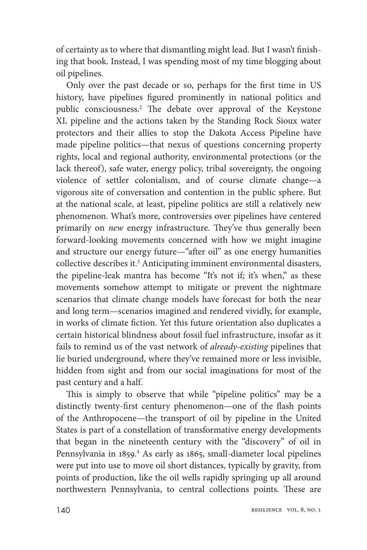of certainty as to where that dismantling might lead. But I wasn't finishing that book. Instead, I was spending most of my time blogging about oil pipelines.

Only over the past decade or so, perhaps for the first time in US history, have pipelines figured prominently in national politics and public consciousness.<sup>2</sup> The debate over approval of the Keystone XL pipeline and the actions taken by the Standing Rock Sioux water protectors and their allies to stop the Dakota Access Pipeline have made pipeline politics— that nexus of questions concerning property rights, local and regional authority, environmental protections (or the lack thereof), safe water, energy policy, tribal sovereignty, the ongoing violence of settler colonialism, and of course climate change— a vigorous site of conversation and contention in the public sphere. But at the national scale, at least, pipeline politics are still a relatively new phenomenon. What's more, controversies over pipelines have centered primarily on *new* energy infrastructure. They've thus generally been forward-looking movements concerned with how we might imagine and structure our energy future—"after oil" as one energy humanities collective describes it.<sup>3</sup> Anticipating imminent environmental disasters, the pipeline- leak mantra has become "It's not if; it's when," as these movements somehow attempt to mitigate or prevent the nightmare scenarios that climate change models have forecast for both the near and long term— scenarios imagined and rendered vividly, for example, in works of climate fiction. Yet this future orientation also duplicates a certain historical blindness about fossil fuel infrastructure, insofar as it fails to remind us of the vast network of *already-existing* pipelines that lie buried underground, where they've remained more or less invisible, hidden from sight and from our social imaginations for most of the past century and a half.

This is simply to observe that while "pipeline politics" may be a distinctly twenty-first century phenomenon—one of the flash points of the Anthropocene— the transport of oil by pipeline in the United States is part of a constellation of transformative energy developments that began in the nineteenth century with the "discovery" of oil in Pennsylvania in 1859.<sup>4</sup> As early as 1865, small-diameter local pipelines were put into use to move oil short distances, typically by gravity, from points of production, like the oil wells rapidly springing up all around northwestern Pennsylvania, to central collections points. These are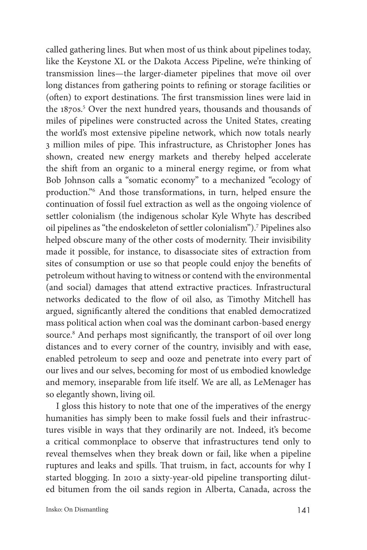called gathering lines. But when most of us think about pipelines today, like the Keystone XL or the Dakota Access Pipeline, we're thinking of transmission lines— the larger- diameter pipelines that move oil over long distances from gathering points to refining or storage facilities or (often) to export destinations. The first transmission lines were laid in the 1870s.<sup>5</sup> Over the next hundred years, thousands and thousands of miles of pipelines were constructed across the United States, creating the world's most extensive pipeline network, which now totals nearly 3 million miles of pipe. This infrastructure, as Christopher Jones has shown, created new energy markets and thereby helped accelerate the shift from an organic to a mineral energy regime, or from what Bob Johnson calls a "somatic economy" to a mechanized "ecology of production."6 And those transformations, in turn, helped ensure the continuation of fossil fuel extraction as well as the ongoing violence of settler colonialism (the indigenous scholar Kyle Whyte has described oil pipelines as "the endoskeleton of settler colonialism").7 Pipelines also helped obscure many of the other costs of modernity. Their invisibility made it possible, for instance, to disassociate sites of extraction from sites of consumption or use so that people could enjoy the benefits of petroleum without having to witness or contend with the environmental (and social) damages that attend extractive practices. Infrastructural networks dedicated to the flow of oil also, as Timothy Mitchell has argued, significantly altered the conditions that enabled democratized mass political action when coal was the dominant carbon-based energy source.<sup>8</sup> And perhaps most significantly, the transport of oil over long distances and to every corner of the country, invisibly and with ease, enabled petroleum to seep and ooze and penetrate into every part of our lives and our selves, becoming for most of us embodied knowledge and memory, inseparable from life itself. We are all, as LeMenager has so elegantly shown, living oil.

I gloss this history to note that one of the imperatives of the energy humanities has simply been to make fossil fuels and their infrastructures visible in ways that they ordinarily are not. Indeed, it's become a critical commonplace to observe that infrastructures tend only to reveal themselves when they break down or fail, like when a pipeline ruptures and leaks and spills. That truism, in fact, accounts for why I started blogging. In 2010 a sixty- year- old pipeline transporting diluted bitumen from the oil sands region in Alberta, Canada, across the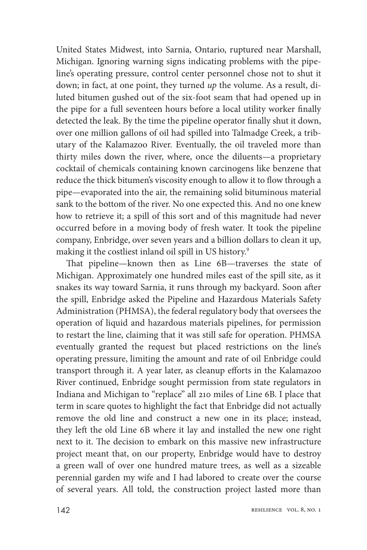United States Midwest, into Sarnia, Ontario, ruptured near Marshall, Michigan. Ignoring warning signs indicating problems with the pipeline's operating pressure, control center personnel chose not to shut it down; in fact, at one point, they turned *up* the volume. As a result, diluted bitumen gushed out of the six- foot seam that had opened up in the pipe for a full seventeen hours before a local utility worker finally detected the leak. By the time the pipeline operator finally shut it down, over one million gallons of oil had spilled into Talmadge Creek, a tributary of the Kalamazoo River. Eventually, the oil traveled more than thirty miles down the river, where, once the diluents— a proprietary cocktail of chemicals containing known carcinogens like benzene that reduce the thick bitumen's viscosity enough to allow it to flow through a pipe— evaporated into the air, the remaining solid bituminous material sank to the bottom of the river. No one expected this. And no one knew how to retrieve it; a spill of this sort and of this magnitude had never occurred before in a moving body of fresh water. It took the pipeline company, Enbridge, over seven years and a billion dollars to clean it up, making it the costliest inland oil spill in US history.9

That pipeline—known then as Line 6B—traverses the state of Michigan. Approximately one hundred miles east of the spill site, as it snakes its way toward Sarnia, it runs through my backyard. Soon after the spill, Enbridge asked the Pipeline and Hazardous Materials Safety Administration (PHMSA), the federal regulatory body that oversees the operation of liquid and hazardous materials pipelines, for permission to restart the line, claiming that it was still safe for operation. PHMSA eventually granted the request but placed restrictions on the line's operating pressure, limiting the amount and rate of oil Enbridge could transport through it. A year later, as cleanup efforts in the Kalamazoo River continued, Enbridge sought permission from state regulators in Indiana and Michigan to "replace" all 210 miles of Line 6B. I place that term in scare quotes to highlight the fact that Enbridge did not actually remove the old line and construct a new one in its place; instead, they left the old Line 6B where it lay and installed the new one right next to it. The decision to embark on this massive new infrastructure project meant that, on our property, Enbridge would have to destroy a green wall of over one hundred mature trees, as well as a sizeable perennial garden my wife and I had labored to create over the course of several years. All told, the construction project lasted more than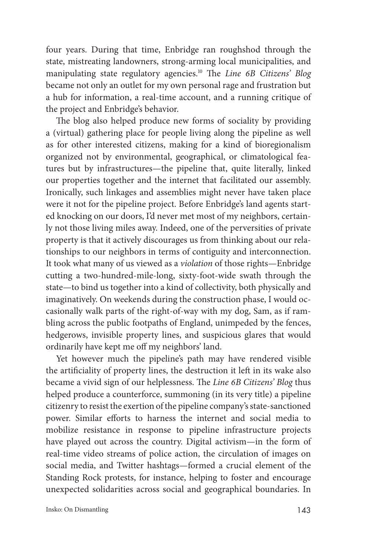four years. During that time, Enbridge ran roughshod through the state, mistreating landowners, strong- arming local municipalities, and manipulating state regulatory agencies.<sup>10</sup> The *Line 6B Citizens' Blog* became not only an outlet for my own personal rage and frustration but a hub for information, a real- time account, and a running critique of the project and Enbridge's behavior.

The blog also helped produce new forms of sociality by providing a (virtual) gathering place for people living along the pipeline as well as for other interested citizens, making for a kind of bioregionalism organized not by environmental, geographical, or climatological features but by infrastructures— the pipeline that, quite literally, linked our properties together and the internet that facilitated our assembly. Ironically, such linkages and assemblies might never have taken place were it not for the pipeline project. Before Enbridge's land agents started knocking on our doors, I'd never met most of my neighbors, certainly not those living miles away. Indeed, one of the perversities of private property is that it actively discourages us from thinking about our relationships to our neighbors in terms of contiguity and interconnection. It took what many of us viewed as a *violation* of those rights— Enbridge cutting a two-hundred-mile-long, sixty-foot-wide swath through the state— to bind us together into a kind of collectivity, both physically and imaginatively. On weekends during the construction phase, I would occasionally walk parts of the right-of-way with my dog, Sam, as if rambling across the public footpaths of England, unimpeded by the fences, hedgerows, invisible property lines, and suspicious glares that would ordinarily have kept me off my neighbors' land.

Yet however much the pipeline's path may have rendered visible the artificiality of property lines, the destruction it left in its wake also became a vivid sign of our helplessness. The *Line 6B Citizens' Blog* thus helped produce a counterforce, summoning (in its very title) a pipeline citizenry to resist the exertion of the pipeline company's state- sanctioned power. Similar efforts to harness the internet and social media to mobilize resistance in response to pipeline infrastructure projects have played out across the country. Digital activism— in the form of real- time video streams of police action, the circulation of images on social media, and Twitter hashtags— formed a crucial element of the Standing Rock protests, for instance, helping to foster and encourage unexpected solidarities across social and geographical boundaries. In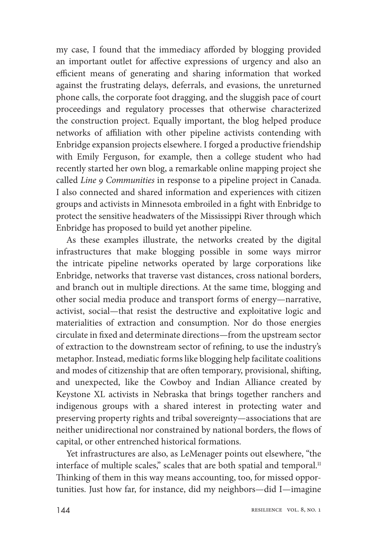my case, I found that the immediacy afforded by blogging provided an important outlet for affective expressions of urgency and also an efficient means of generating and sharing information that worked against the frustrating delays, deferrals, and evasions, the unreturned phone calls, the corporate foot dragging, and the sluggish pace of court proceedings and regulatory processes that otherwise characterized the construction project. Equally important, the blog helped produce networks of affiliation with other pipeline activists contending with Enbridge expansion projects elsewhere. I forged a productive friendship with Emily Ferguson, for example, then a college student who had recently started her own blog, a remarkable online mapping project she called *Line 9 Communities* in response to a pipeline project in Canada. I also connected and shared information and experiences with citizen groups and activists in Minnesota embroiled in a fight with Enbridge to protect the sensitive headwaters of the Mississippi River through which Enbridge has proposed to build yet another pipeline.

As these examples illustrate, the networks created by the digital infrastructures that make blogging possible in some ways mirror the intricate pipeline networks operated by large corporations like Enbridge, networks that traverse vast distances, cross national borders, and branch out in multiple directions. At the same time, blogging and other social media produce and transport forms of energy— narrative, activist, social— that resist the destructive and exploitative logic and materialities of extraction and consumption. Nor do those energies circulate in fixed and determinate directions—from the upstream sector of extraction to the downstream sector of refining, to use the industry's metaphor. Instead, mediatic forms like blogging help facilitate coalitions and modes of citizenship that are often temporary, provisional, shifting, and unexpected, like the Cowboy and Indian Alliance created by Keystone XL activists in Nebraska that brings together ranchers and indigenous groups with a shared interest in protecting water and preserving property rights and tribal sovereignty— associations that are neither unidirectional nor constrained by national borders, the flows of capital, or other entrenched historical formations.

Yet infrastructures are also, as LeMenager points out elsewhere, "the interface of multiple scales," scales that are both spatial and temporal.<sup>11</sup> Thinking of them in this way means accounting, too, for missed opportunities. Just how far, for instance, did my neighbors— did I— imagine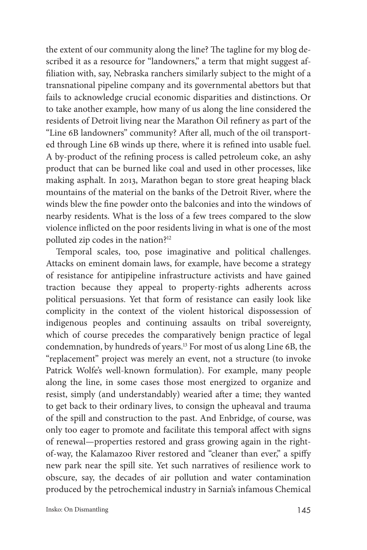the extent of our community along the line? The tagline for my blog described it as a resource for "landowners," a term that might suggest affiliation with, say, Nebraska ranchers similarly subject to the might of a transnational pipeline company and its governmental abettors but that fails to acknowledge crucial economic disparities and distinctions. Or to take another example, how many of us along the line considered the residents of Detroit living near the Marathon Oil refinery as part of the "Line 6B landowners" community? After all, much of the oil transported through Line 6B winds up there, where it is refined into usable fuel. A by-product of the refining process is called petroleum coke, an ashy product that can be burned like coal and used in other processes, like making asphalt. In 2013, Marathon began to store great heaping black mountains of the material on the banks of the Detroit River, where the winds blew the fine powder onto the balconies and into the windows of nearby residents. What is the loss of a few trees compared to the slow violence inflicted on the poor residents living in what is one of the most polluted zip codes in the nation?12

Temporal scales, too, pose imaginative and political challenges. Attacks on eminent domain laws, for example, have become a strategy of resistance for antipipeline infrastructure activists and have gained traction because they appeal to property- rights adherents across political persuasions. Yet that form of resistance can easily look like complicity in the context of the violent historical dispossession of indigenous peoples and continuing assaults on tribal sovereignty, which of course precedes the comparatively benign practice of legal condemnation, by hundreds of years.13 For most of us along Line 6B, the "replacement" project was merely an event, not a structure (to invoke Patrick Wolfe's well-known formulation). For example, many people along the line, in some cases those most energized to organize and resist, simply (and understandably) wearied after a time; they wanted to get back to their ordinary lives, to consign the upheaval and trauma of the spill and construction to the past. And Enbridge, of course, was only too eager to promote and facilitate this temporal affect with signs of renewal— properties restored and grass growing again in the rightof-way, the Kalamazoo River restored and "cleaner than ever," a spiffy new park near the spill site. Yet such narratives of resilience work to obscure, say, the decades of air pollution and water contamination produced by the petrochemical industry in Sarnia's infamous Chemical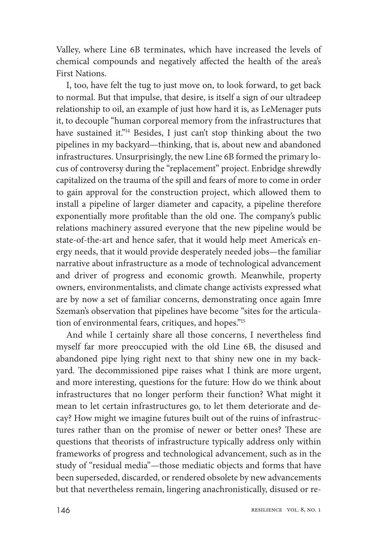Valley, where Line 6B terminates, which have increased the levels of chemical compounds and negatively affected the health of the area's First Nations.

I, too, have felt the tug to just move on, to look forward, to get back to normal. But that impulse, that desire, is itself a sign of our ultradeep relationship to oil, an example of just how hard it is, as LeMenager puts it, to decouple "human corporeal memory from the infrastructures that have sustained it."<sup>14</sup> Besides, I just can't stop thinking about the two pipelines in my backyard— thinking, that is, about new and abandoned infrastructures. Unsurprisingly, the new Line 6B formed the primary locus of controversy during the "replacement" project. Enbridge shrewdly capitalized on the trauma of the spill and fears of more to come in order to gain approval for the construction project, which allowed them to install a pipeline of larger diameter and capacity, a pipeline therefore exponentially more profitable than the old one. The company's public relations machinery assured everyone that the new pipeline would be state- of- the- art and hence safer, that it would help meet America's energy needs, that it would provide desperately needed jobs— the familiar narrative about infrastructure as a mode of technological advancement and driver of progress and economic growth. Meanwhile, property owners, environmentalists, and climate change activists expressed what are by now a set of familiar concerns, demonstrating once again Imre Szeman's observation that pipelines have become "sites for the articulation of environmental fears, critiques, and hopes."15

And while I certainly share all those concerns, I nevertheless find myself far more preoccupied with the old Line 6B, the disused and abandoned pipe lying right next to that shiny new one in my backyard. The decommissioned pipe raises what I think are more urgent, and more interesting, questions for the future: How do we think about infrastructures that no longer perform their function? What might it mean to let certain infrastructures go, to let them deteriorate and decay? How might we imagine futures built out of the ruins of infrastructures rather than on the promise of newer or better ones? These are questions that theorists of infrastructure typically address only within frameworks of progress and technological advancement, such as in the study of "residual media"— those mediatic objects and forms that have been superseded, discarded, or rendered obsolete by new advancements but that nevertheless remain, lingering anachronistically, disused or re-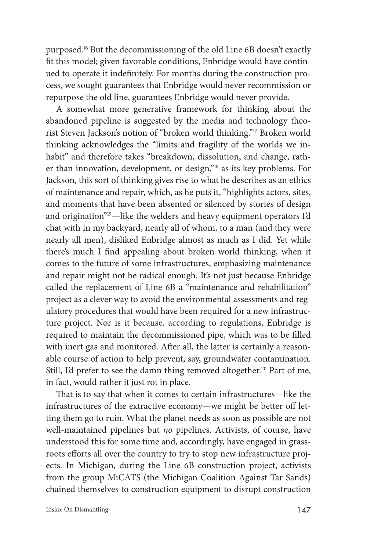purposed.16 But the decommissioning of the old Line 6B doesn't exactly fit this model; given favorable conditions, Enbridge would have continued to operate it indefinitely. For months during the construction process, we sought guarantees that Enbridge would never recommission or repurpose the old line, guarantees Enbridge would never provide.

A somewhat more generative framework for thinking about the abandoned pipeline is suggested by the media and technology theorist Steven Jackson's notion of "broken world thinking."17 Broken world thinking acknowledges the "limits and fragility of the worlds we inhabit" and therefore takes "breakdown, dissolution, and change, rather than innovation, development, or design,"18 as its key problems. For Jackson, this sort of thinking gives rise to what he describes as an ethics of maintenance and repair, which, as he puts it, "highlights actors, sites, and moments that have been absented or silenced by stories of design and origination"<sup>19</sup>-like the welders and heavy equipment operators I'd chat with in my backyard, nearly all of whom, to a man (and they were nearly all men), disliked Enbridge almost as much as I did. Yet while there's much I find appealing about broken world thinking, when it comes to the future of some infrastructures, emphasizing maintenance and repair might not be radical enough. It's not just because Enbridge called the replacement of Line 6B a "maintenance and rehabilitation" project as a clever way to avoid the environmental assessments and regulatory procedures that would have been required for a new infrastructure project. Nor is it because, according to regulations, Enbridge is required to maintain the decommissioned pipe, which was to be filled with inert gas and monitored. After all, the latter is certainly a reasonable course of action to help prevent, say, groundwater contamination. Still, I'd prefer to see the damn thing removed altogether.<sup>20</sup> Part of me, in fact, would rather it just rot in place.

That is to say that when it comes to certain infrastructures-like the infrastructures of the extractive economy— we might be better off letting them go to ruin. What the planet needs as soon as possible are not well- maintained pipelines but *no* pipelines. Activists, of course, have understood this for some time and, accordingly, have engaged in grassroots efforts all over the country to try to stop new infrastructure projects. In Michigan, during the Line 6B construction project, activists from the group MiCATS (the Michigan Coalition Against Tar Sands) chained themselves to construction equipment to disrupt construction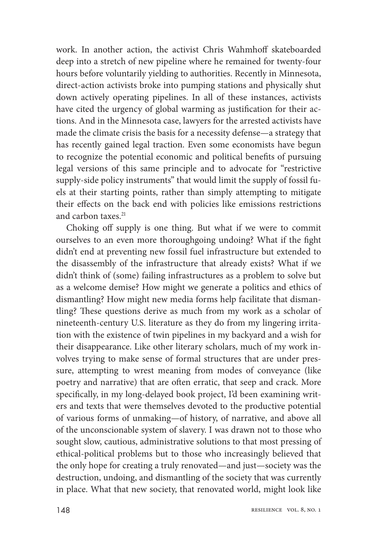work. In another action, the activist Chris Wahmhoff skateboarded deep into a stretch of new pipeline where he remained for twenty-four hours before voluntarily yielding to authorities. Recently in Minnesota, direct- action activists broke into pumping stations and physically shut down actively operating pipelines. In all of these instances, activists have cited the urgency of global warming as justification for their actions. And in the Minnesota case, lawyers for the arrested activists have made the climate crisis the basis for a necessity defense— a strategy that has recently gained legal traction. Even some economists have begun to recognize the potential economic and political benefits of pursuing legal versions of this same principle and to advocate for "restrictive supply- side policy instruments" that would limit the supply of fossil fuels at their starting points, rather than simply attempting to mitigate their effects on the back end with policies like emissions restrictions and carbon taxes.<sup>21</sup>

Choking off supply is one thing. But what if we were to commit ourselves to an even more thoroughgoing undoing? What if the fight didn't end at preventing new fossil fuel infrastructure but extended to the disassembly of the infrastructure that already exists? What if we didn't think of (some) failing infrastructures as a problem to solve but as a welcome demise? How might we generate a politics and ethics of dismantling? How might new media forms help facilitate that dismantling? These questions derive as much from my work as a scholar of nineteenth- century U.S. literature as they do from my lingering irritation with the existence of twin pipelines in my backyard and a wish for their disappearance. Like other literary scholars, much of my work involves trying to make sense of formal structures that are under pressure, attempting to wrest meaning from modes of conveyance (like poetry and narrative) that are often erratic, that seep and crack. More specifically, in my long-delayed book project, I'd been examining writers and texts that were themselves devoted to the productive potential of various forms of unmaking— of history, of narrative, and above all of the unconscionable system of slavery. I was drawn not to those who sought slow, cautious, administrative solutions to that most pressing of ethical- political problems but to those who increasingly believed that the only hope for creating a truly renovated— and just— society was the destruction, undoing, and dismantling of the society that was currently in place. What that new society, that renovated world, might look like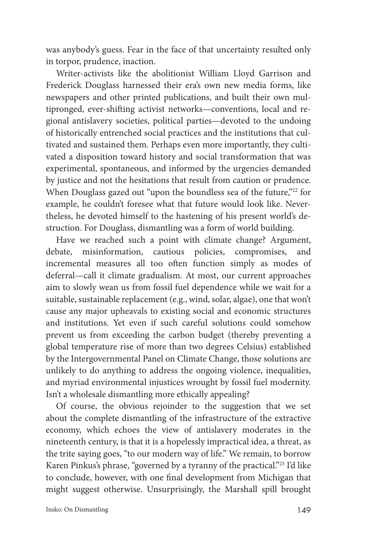was anybody's guess. Fear in the face of that uncertainty resulted only in torpor, prudence, inaction.

Writer- activists like the abolitionist William Lloyd Garrison and Frederick Douglass harnessed their era's own new media forms, like newspapers and other printed publications, and built their own multipronged, ever-shifting activist networks—conventions, local and regional antislavery societies, political parties— devoted to the undoing of historically entrenched social practices and the institutions that cultivated and sustained them. Perhaps even more importantly, they cultivated a disposition toward history and social transformation that was experimental, spontaneous, and informed by the urgencies demanded by justice and not the hesitations that result from caution or prudence. When Douglass gazed out "upon the boundless sea of the future,"<sup>22</sup> for example, he couldn't foresee what that future would look like. Nevertheless, he devoted himself to the hastening of his present world's destruction. For Douglass, dismantling was a form of world building.

Have we reached such a point with climate change? Argument, debate, misinformation, cautious policies, compromises, and incremental measures all too often function simply as modes of deferral— call it climate gradualism. At most, our current approaches aim to slowly wean us from fossil fuel dependence while we wait for a suitable, sustainable replacement (e.g., wind, solar, algae), one that won't cause any major upheavals to existing social and economic structures and institutions. Yet even if such careful solutions could somehow prevent us from exceeding the carbon budget (thereby preventing a global temperature rise of more than two degrees Celsius) established by the Intergovernmental Panel on Climate Change, those solutions are unlikely to do anything to address the ongoing violence, inequalities, and myriad environmental injustices wrought by fossil fuel modernity. Isn't a wholesale dismantling more ethically appealing?

Of course, the obvious rejoinder to the suggestion that we set about the complete dismantling of the infrastructure of the extractive economy, which echoes the view of antislavery moderates in the nineteenth century, is that it is a hopelessly impractical idea, a threat, as the trite saying goes, "to our modern way of life." We remain, to borrow Karen Pinkus's phrase, "governed by a tyranny of the practical."23 I'd like to conclude, however, with one final development from Michigan that might suggest otherwise. Unsurprisingly, the Marshall spill brought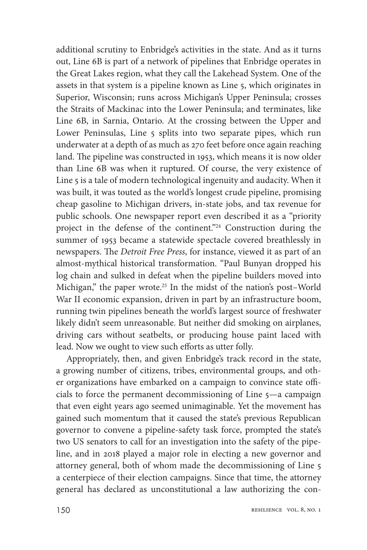additional scrutiny to Enbridge's activities in the state. And as it turns out, Line 6B is part of a network of pipelines that Enbridge operates in the Great Lakes region, what they call the Lakehead System. One of the assets in that system is a pipeline known as Line 5, which originates in Superior, Wisconsin; runs across Michigan's Upper Peninsula; crosses the Straits of Mackinac into the Lower Peninsula; and terminates, like Line 6B, in Sarnia, Ontario. At the crossing between the Upper and Lower Peninsulas, Line 5 splits into two separate pipes, which run underwater at a depth of as much as 270 feet before once again reaching land. The pipeline was constructed in 1953, which means it is now older than Line 6B was when it ruptured. Of course, the very existence of Line 5 is a tale of modern technological ingenuity and audacity. When it was built, it was touted as the world's longest crude pipeline, promising cheap gasoline to Michigan drivers, in- state jobs, and tax revenue for public schools. One newspaper report even described it as a "priority project in the defense of the continent."24 Construction during the summer of 1953 became a statewide spectacle covered breathlessly in newspapers. The *Detroit Free Press*, for instance, viewed it as part of an almost- mythical historical transformation. "Paul Bunyan dropped his log chain and sulked in defeat when the pipeline builders moved into Michigan," the paper wrote.<sup>25</sup> In the midst of the nation's post-World War II economic expansion, driven in part by an infrastructure boom, running twin pipelines beneath the world's largest source of freshwater likely didn't seem unreasonable. But neither did smoking on airplanes, driving cars without seatbelts, or producing house paint laced with lead. Now we ought to view such efforts as utter folly.

Appropriately, then, and given Enbridge's track record in the state, a growing number of citizens, tribes, environmental groups, and other organizations have embarked on a campaign to convince state officials to force the permanent decommissioning of Line 5— a campaign that even eight years ago seemed unimaginable. Yet the movement has gained such momentum that it caused the state's previous Republican governor to convene a pipeline- safety task force, prompted the state's two US senators to call for an investigation into the safety of the pipeline, and in 2018 played a major role in electing a new governor and attorney general, both of whom made the decommissioning of Line 5 a centerpiece of their election campaigns. Since that time, the attorney general has declared as unconstitutional a law authorizing the con-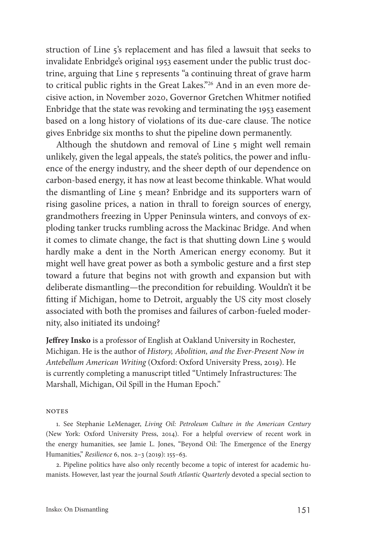struction of Line 5's replacement and has filed a lawsuit that seeks to invalidate Enbridge's original 1953 easement under the public trust doctrine, arguing that Line 5 represents "a continuing threat of grave harm to critical public rights in the Great Lakes."<sup>26</sup> And in an even more decisive action, in November 2020, Governor Gretchen Whitmer notified Enbridge that the state was revoking and terminating the 1953 easement based on a long history of violations of its due-care clause. The notice gives Enbridge six months to shut the pipeline down permanently.

Although the shutdown and removal of Line 5 might well remain unlikely, given the legal appeals, the state's politics, the power and influence of the energy industry, and the sheer depth of our dependence on carbon- based energy, it has now at least become thinkable. What would the dismantling of Line 5 mean? Enbridge and its supporters warn of rising gasoline prices, a nation in thrall to foreign sources of energy, grandmothers freezing in Upper Peninsula winters, and convoys of exploding tanker trucks rumbling across the Mackinac Bridge. And when it comes to climate change, the fact is that shutting down Line 5 would hardly make a dent in the North American energy economy. But it might well have great power as both a symbolic gesture and a first step toward a future that begins not with growth and expansion but with deliberate dismantling— the precondition for rebuilding. Wouldn't it be fitting if Michigan, home to Detroit, arguably the US city most closely associated with both the promises and failures of carbon-fueled modernity, also initiated its undoing?

Jeffrey Insko is a professor of English at Oakland University in Rochester, Michigan. He is the author of *History, Abolition, and the Ever- Present Now in Antebellum American Writing* (Oxford: Oxford University Press, 2019). He is currently completing a manuscript titled "Untimely Infrastructures: The Marshall, Michigan, Oil Spill in the Human Epoch."

## **NOTES**

1. See Stephanie LeMenager, *Living Oil: Petroleum Culture in the American Century* (New York: Oxford University Press, 2014). For a helpful overview of recent work in the energy humanities, see Jamie L. Jones, "Beyond Oil: The Emergence of the Energy Humanities," Resilience 6, nos. 2-3 (2019): 155-63.

2. Pipeline politics have also only recently become a topic of interest for academic humanists. However, last year the journal *South Atlantic Quarterly* devoted a special section to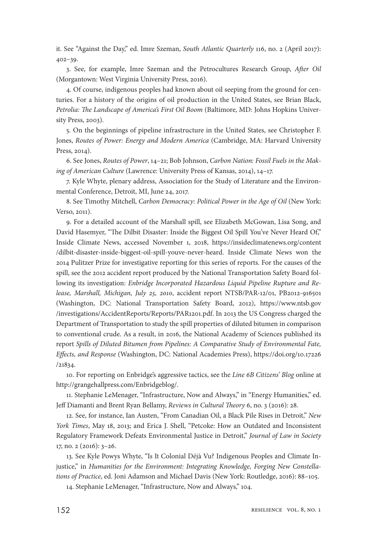it. See "Against the Day," ed. Imre Szeman, *South Atlantic Quarterly* 116, no. 2 (April 2017):  $402 - 39.$ 

3. See, for example, Imre Szeman and the Petrocultures Research Group, After Oil (Morgantown: West Virginia University Press, 2016).

4. Of course, indigenous peoples had known about oil seeping from the ground for centuries. For a history of the origins of oil production in the United States, see Brian Black, Petrolia: The Landscape of America's First Oil Boom (Baltimore, MD: Johns Hopkins University Press, 2003).

5. On the beginnings of pipeline infrastructure in the United States, see Christopher F. Jones, *Routes of Power: Energy and Modern America* (Cambridge, MA: Harvard University Press, 2014).

6. See Jones, *Routes of Power*, 14– 21; Bob Johnson, *Carbon Nation: Fossil Fuels in the Mak*ing of American Culture (Lawrence: University Press of Kansas, 2014), 14-17.

7. Kyle Whyte, plenary address, Association for the Study of Literature and the Environmental Conference, Detroit, MI, June 24, 2017.

8. See Timothy Mitchell, *Carbon Democracy: Political Power in the Age of Oil* (New York: Verso, 2011).

9. For a detailed account of the Marshall spill, see Elizabeth McGowan, Lisa Song, and David Hasemyer, "The Dilbit Disaster: Inside the Biggest Oil Spill You've Never Heard Of," Inside Climate News, accessed November 1, 2018, https:// insideclimatenews .org /content /dilbit -disaster -inside -biggest -oil -spill -youve -never -heard. Inside Climate News won the 2014 Pulitzer Prize for investigative reporting for this series of reports. For the causes of the spill, see the 2012 accident report produced by the National Transportation Safety Board following its investigation: *Enbridge Incorporated Hazardous Liquid Pipeline Rupture and Re*lease, Marshall, Michigan, July 25, 2010, accident report NTSB/PAR-12/01, PB2012-916501 (Washington, DC: National Transportation Safety Board, 2012), https://www.ntsb.gov /investigations /AccidentReports /Reports /PAR1201 .pdf. In 2013 the US Congress charged the Department of Transportation to study the spill properties of diluted bitumen in comparison to conventional crude. As a result, in 2016, the National Academy of Sciences published its report *Spills of Diluted Bitumen from Pipelines: A Comparative Study of Environmental Fate,*  Effects, and Response (Washington, DC: National Academies Press), https://doi.org/10.17226 /21834.

10. For reporting on Enbridge's aggressive tactics, see the *Line 6B Citizens' Blog* online at http://grangehallpress.com/Enbridgeblog/.

11. Stephanie LeMenager, "Infrastructure, Now and Always," in "Energy Humanities," ed. Jeff Diamanti and Brent Ryan Bellamy, *Reviews in Cultural Theory* 6, no. 3 (2016): 28.

12. See, for instance, Ian Austen, "From Canadian Oil, a Black Pile Rises in Detroit," *New York Times*, May 18, 2013; and Erica J. Shell, "Petcoke: How an Outdated and Inconsistent Regulatory Framework Defeats Environmental Justice in Detroit," *Journal of Law in Society* 17, no. 2 (2016): 3– 26.

13. See Kyle Powys Whyte, "Is It Colonial Déjà Vu? Indigenous Peoples and Climate Injustice," in *Humanities for the Environment: Integrating Knowledge, Forging New Constellations of Practice*, ed. Joni Adamson and Michael Davis (New York: Routledge, 2016): 88-105.

14. Stephanie LeMenager, "Infrastructure, Now and Always," 104.